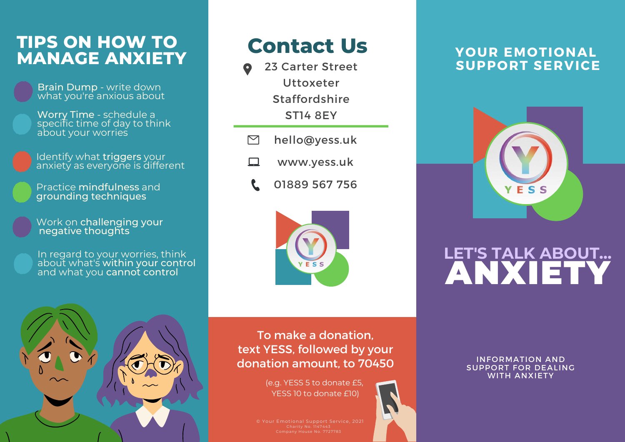## **TIPS ON HOW TO Contact Us MANAGE ANXIETY**

Brain Dump - write down what you're anxious about

Worry Time - schedule a specific time of day to think about your worries

Identify what triggers your anxiety as everyone is different

Practice mindfulness and grounding techniques

Work on challenging your negative thoughts

In regard to your worries, think about what's within your control and what you cannot control

- 23 Carter Street Uttoxeter Staffordshire ST14 8EY
- $\triangleright$ hello@yess.uk
- www.yess.uk □
	- 01889 567 756



#### **YOUR EMOTIONAL SUPPORT SERVICE**



# LET'S TALK ABOUT...<br>ANXIETY



To make a donation, text YESS, followed by your donation amount, to 70450

> (e.g. YESS 5 to donate £5, YESS 10 to donate £10)

SUPPORT FOR DEALING WITH ANXIETY

© Your Emotional Support Service, 2021

INFORMATION AND